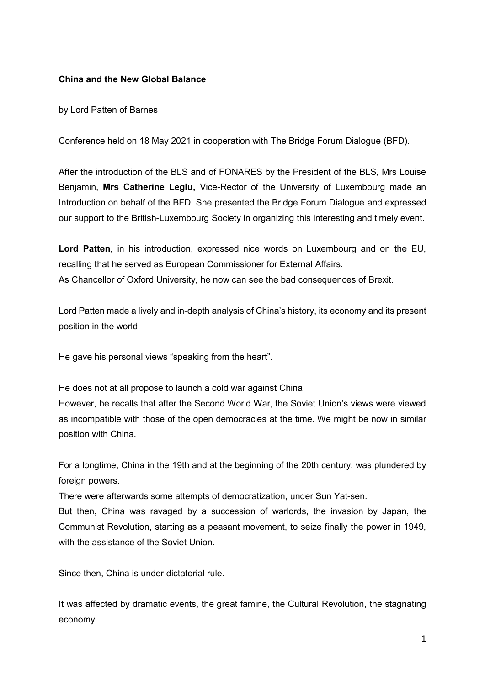## **China and the New Global Balance**

by Lord Patten of Barnes

Conference held on 18 May 2021 in cooperation with The Bridge Forum Dialogue (BFD).

After the introduction of the BLS and of FONARES by the President of the BLS, Mrs Louise Benjamin, **Mrs Catherine Leglu,** Vice-Rector of the University of Luxembourg made an Introduction on behalf of the BFD. She presented the Bridge Forum Dialogue and expressed our support to the British-Luxembourg Society in organizing this interesting and timely event.

**Lord Patten**, in his introduction, expressed nice words on Luxembourg and on the EU, recalling that he served as European Commissioner for External Affairs. As Chancellor of Oxford University, he now can see the bad consequences of Brexit.

Lord Patten made a lively and in-depth analysis of China's history, its economy and its present position in the world.

He gave his personal views "speaking from the heart".

He does not at all propose to launch a cold war against China.

However, he recalls that after the Second World War, the Soviet Union's views were viewed as incompatible with those of the open democracies at the time. We might be now in similar position with China.

For a longtime, China in the 19th and at the beginning of the 20th century, was plundered by foreign powers.

There were afterwards some attempts of democratization, under Sun Yat-sen.

But then, China was ravaged by a succession of warlords, the invasion by Japan, the Communist Revolution, starting as a peasant movement, to seize finally the power in 1949, with the assistance of the Soviet Union

Since then, China is under dictatorial rule.

It was affected by dramatic events, the great famine, the Cultural Revolution, the stagnating economy.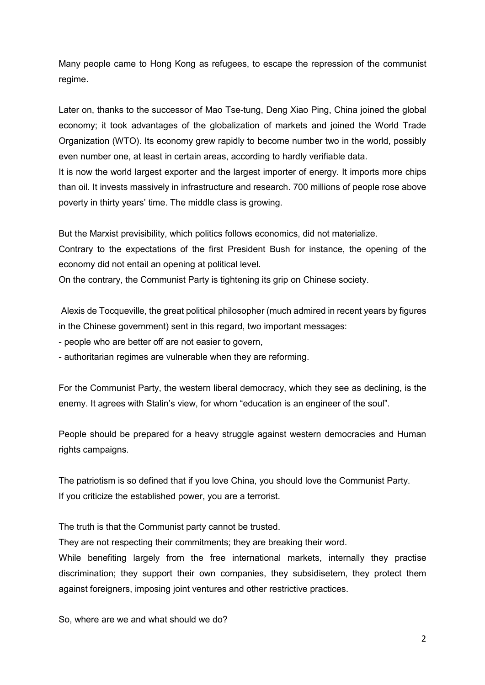Many people came to Hong Kong as refugees, to escape the repression of the communist regime.

Later on, thanks to the successor of Mao Tse-tung, Deng Xiao Ping, China joined the global economy; it took advantages of the globalization of markets and joined the World Trade Organization (WTO). Its economy grew rapidly to become number two in the world, possibly even number one, at least in certain areas, according to hardly verifiable data.

It is now the world largest exporter and the largest importer of energy. It imports more chips than oil. It invests massively in infrastructure and research. 700 millions of people rose above poverty in thirty years' time. The middle class is growing.

But the Marxist previsibility, which politics follows economics, did not materialize.

Contrary to the expectations of the first President Bush for instance, the opening of the economy did not entail an opening at political level.

On the contrary, the Communist Party is tightening its grip on Chinese society.

Alexis de Tocqueville, the great political philosopher (much admired in recent years by figures in the Chinese government) sent in this regard, two important messages:

- people who are better off are not easier to govern,

- authoritarian regimes are vulnerable when they are reforming.

For the Communist Party, the western liberal democracy, which they see as declining, is the enemy. It agrees with Stalin's view, for whom "education is an engineer of the soul".

People should be prepared for a heavy struggle against western democracies and Human rights campaigns.

The patriotism is so defined that if you love China, you should love the Communist Party. If you criticize the established power, you are a terrorist.

The truth is that the Communist party cannot be trusted.

They are not respecting their commitments; they are breaking their word.

While benefiting largely from the free international markets, internally they practise discrimination; they support their own companies, they subsidisetem, they protect them against foreigners, imposing joint ventures and other restrictive practices.

So, where are we and what should we do?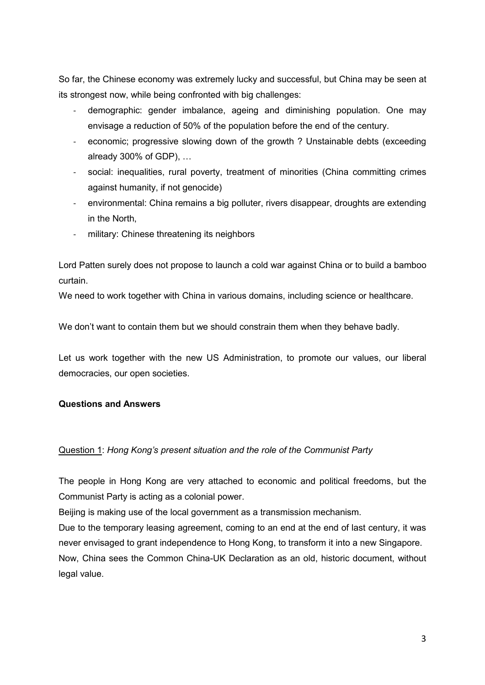So far, the Chinese economy was extremely lucky and successful, but China may be seen at its strongest now, while being confronted with big challenges:

- demographic: gender imbalance, ageing and diminishing population. One may envisage a reduction of 50% of the population before the end of the century.
- economic; progressive slowing down of the growth ? Unstainable debts (exceeding already 300% of GDP), …
- social: inequalities, rural poverty, treatment of minorities (China committing crimes against humanity, if not genocide)
- environmental: China remains a big polluter, rivers disappear, droughts are extending in the North,
- military: Chinese threatening its neighbors

Lord Patten surely does not propose to launch a cold war against China or to build a bamboo curtain.

We need to work together with China in various domains, including science or healthcare.

We don't want to contain them but we should constrain them when they behave badly.

Let us work together with the new US Administration, to promote our values, our liberal democracies, our open societies.

## **Questions and Answers**

## Question 1: *Hong Kong's present situation and the role of the Communist Party*

The people in Hong Kong are very attached to economic and political freedoms, but the Communist Party is acting as a colonial power.

Beijing is making use of the local government as a transmission mechanism.

Due to the temporary leasing agreement, coming to an end at the end of last century, it was never envisaged to grant independence to Hong Kong, to transform it into a new Singapore.

Now, China sees the Common China-UK Declaration as an old, historic document, without legal value.